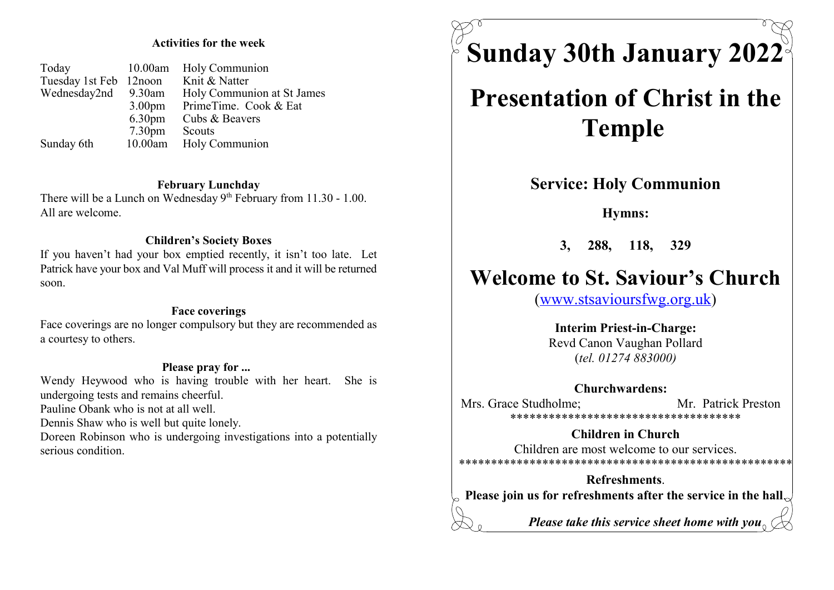#### Activities for the week

| Today                  |                    | 10.00am Holy Communion     |
|------------------------|--------------------|----------------------------|
| Tuesday 1st Feb 12noon |                    | Knit & Natter              |
| Wednesday2nd 9.30am    |                    | Holy Communion at St James |
|                        | 3.00 <sub>pm</sub> | PrimeTime. Cook & Eat      |
|                        | 6.30 <sub>pm</sub> | Cubs & Beavers             |
|                        | 7.30 <sub>pm</sub> | Scouts                     |
| Sunday 6th             | 10.00am            | Holy Communion             |

#### February Lunchday

There will be a Lunch on Wednesday  $9<sup>th</sup>$  February from 11.30 - 1.00. All are welcome.

#### Children's Society Boxes

If you haven't had your box emptied recently, it isn't too late. Let Patrick have your box and Val Muff will process it and it will be returned soon.

#### Face coverings

Face coverings are no longer compulsory but they are recommended as a courtesy to others.

#### Please pray for ...

Wendy Heywood who is having trouble with her heart. She is undergoing tests and remains cheerful.

Pauline Obank who is not at all well.

Dennis Shaw who is well but quite lonely.

Doreen Robinson who is undergoing investigations into a potentially serious condition.

# Sunday 30th January 2022

## Presentation of Christ in the Temple

Service: Holy Communion

Hymns:

3, 288, 118, 329

### Welcome to St. Saviour's Church

(www.stsavioursfwg.org.uk)

#### Interim Priest-in-Charge:

Revd Canon Vaughan Pollard (tel. 01274 883000)

Churchwardens: Mrs. Grace Studholme: Mr. Patrick Preston \*\*\*\*\*\*\*\*\*\*\*\*\*\*\*\*\*\*\*\*\*\*\*\*\*\*\*\*\*\*\*\*\*\*\*\*

#### Children in Church

Children are most welcome to our services. \*\*\*\*\*\*\*\*\*\*\*\*\*\*\*\*\*\*\*\*\*\*\*\*\*\*\*\*\*\*\*\*\*\*\*\*\*\*\*\*\*\*\*\*\*\*\*\*\*\*\*\*

## Refreshments.

Please join us for refreshments after the service in the hall.

Please take this service sheet home with you